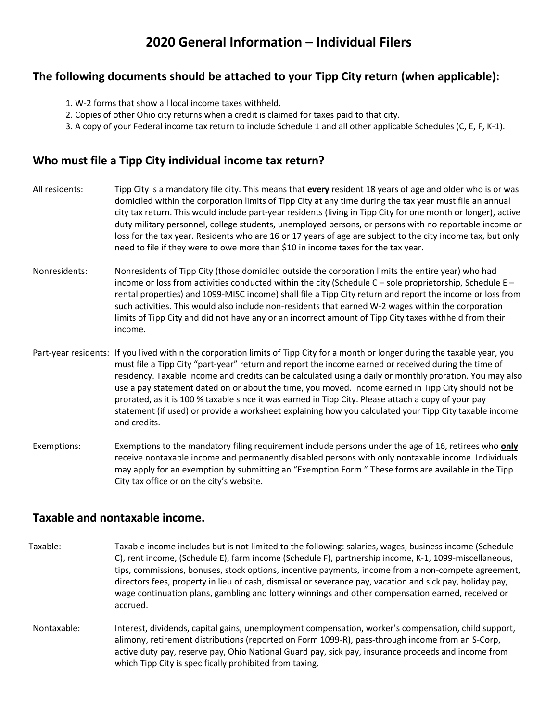# **2020 General Information – Individual Filers**

### **The following documents should be attached to your Tipp City return (when applicable):**

- 1. W-2 forms that show all local income taxes withheld.
- 2. Copies of other Ohio city returns when a credit is claimed for taxes paid to that city.
- 3. A copy of your Federal income tax return to include Schedule 1 and all other applicable Schedules (C, E, F, K-1).

#### **Who must file a Tipp City individual income tax return?**

- All residents: Tipp City is a mandatory file city. This means that **every** resident 18 years of age and older who is or was domiciled within the corporation limits of Tipp City at any time during the tax year must file an annual city tax return. This would include part-year residents (living in Tipp City for one month or longer), active duty military personnel, college students, unemployed persons, or persons with no reportable income or loss for the tax year. Residents who are 16 or 17 years of age are subject to the city income tax, but only need to file if they were to owe more than \$10 in income taxes for the tax year.
- Nonresidents: Nonresidents of Tipp City (those domiciled outside the corporation limits the entire year) who had income or loss from activities conducted within the city (Schedule  $C -$  sole proprietorship, Schedule  $E$ rental properties) and 1099-MISC income) shall file a Tipp City return and report the income or loss from such activities. This would also include non-residents that earned W-2 wages within the corporation limits of Tipp City and did not have any or an incorrect amount of Tipp City taxes withheld from their income.
- Part-year residents: If you lived within the corporation limits of Tipp City for a month or longer during the taxable year, you must file a Tipp City "part-year" return and report the income earned or received during the time of residency. Taxable income and credits can be calculated using a daily or monthly proration. You may also use a pay statement dated on or about the time, you moved. Income earned in Tipp City should not be prorated, as it is 100 % taxable since it was earned in Tipp City. Please attach a copy of your pay statement (if used) or provide a worksheet explaining how you calculated your Tipp City taxable income and credits.
- Exemptions: Exemptions to the mandatory filing requirement include persons under the age of 16, retirees who **only** receive nontaxable income and permanently disabled persons with only nontaxable income. Individuals may apply for an exemption by submitting an "Exemption Form." These forms are available in the Tipp City tax office or on the city's website.

#### **Taxable and nontaxable income.**

- Taxable: Taxable income includes but is not limited to the following: salaries, wages, business income (Schedule C), rent income, (Schedule E), farm income (Schedule F), partnership income, K-1, 1099-miscellaneous, tips, commissions, bonuses, stock options, incentive payments, income from a non-compete agreement, directors fees, property in lieu of cash, dismissal or severance pay, vacation and sick pay, holiday pay, wage continuation plans, gambling and lottery winnings and other compensation earned, received or accrued.
- Nontaxable: Interest, dividends, capital gains, unemployment compensation, worker's compensation, child support, alimony, retirement distributions (reported on Form 1099-R), pass-through income from an S-Corp, active duty pay, reserve pay, Ohio National Guard pay, sick pay, insurance proceeds and income from which Tipp City is specifically prohibited from taxing.